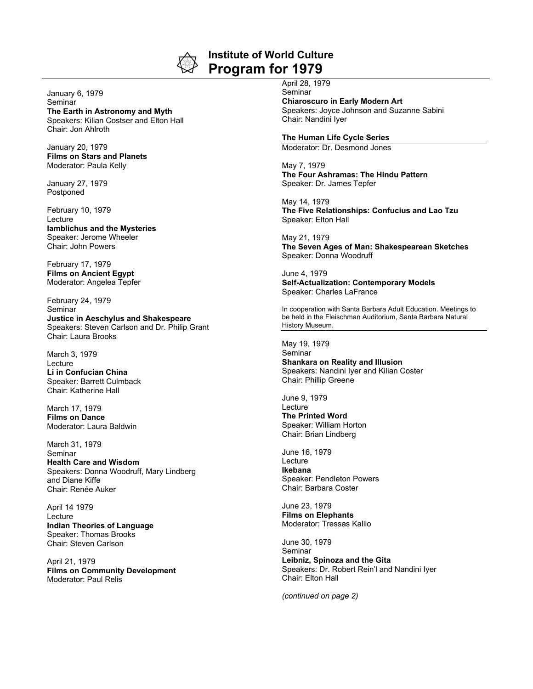

**Institute of World Culture Program for 1979**

## January 6, 1979 **Seminar The Earth in Astronomy and Myth** Speakers: Kilian Costser and Elton Hall Chair: Jon Ahlroth

January 20, 1979 **Films on Stars and Planets** Moderator: Paula Kelly

January 27, 1979 Postponed

February 10, 1979 Lecture **Iamblichus and the Mysteries** Speaker: Jerome Wheeler Chair: John Powers

February 17, 1979 **Films on Ancient Egypt** Moderator: Angelea Tepfer

February 24, 1979 Seminar **Justice in Aeschylus and Shakespeare** Speakers: Steven Carlson and Dr. Philip Grant Chair: Laura Brooks

March 3, 1979 Lecture **Li in Confucian China** Speaker: Barrett Culmback Chair: Katherine Hall

March 17, 1979 **Films on Dance** Moderator: Laura Baldwin

March 31, 1979 Seminar **Health Care and Wisdom** Speakers: Donna Woodruff, Mary Lindberg and Diane Kiffe Chair: Renée Auker

April 14 1979 Lecture **Indian Theories of Language** Speaker: Thomas Brooks Chair: Steven Carlson

April 21, 1979 **Films on Community Development** Moderator: Paul Relis

April 28, 1979 Seminar **Chiaroscuro in Early Modern Art** Speakers: Joyce Johnson and Suzanne Sabini Chair: Nandini Iyer

## **The Human Life Cycle Series**

Moderator: Dr. Desmond Jones

May 7, 1979 **The Four Ashramas: The Hindu Pattern** Speaker: Dr. James Tepfer

May 14, 1979 **The Five Relationships: Confucius and Lao Tzu** Speaker: Elton Hall

May 21, 1979 **The Seven Ages of Man: Shakespearean Sketches** Speaker: Donna Woodruff

June 4, 1979 **Self-Actualization: Contemporary Models** Speaker: Charles LaFrance

In cooperation with Santa Barbara Adult Education. Meetings to be held in the Fleischman Auditorium, Santa Barbara Natural History Museum.

May 19, 1979 Seminar

**Shankara on Reality and Illusion** Speakers: Nandini Iyer and Kilian Coster Chair: Phillip Greene

June 9, 1979 **Lecture The Printed Word** Speaker: William Horton Chair: Brian Lindberg

June 16, 1979 Lecture **Ikebana** Speaker: Pendleton Powers Chair: Barbara Coster

June 23, 1979 **Films on Elephants** Moderator: Tressas Kallio

June 30, 1979 Seminar **Leibniz, Spinoza and the Gita** Speakers: Dr. Robert Rein'l and Nandini Iyer Chair: Elton Hall

*(continued on page 2)*